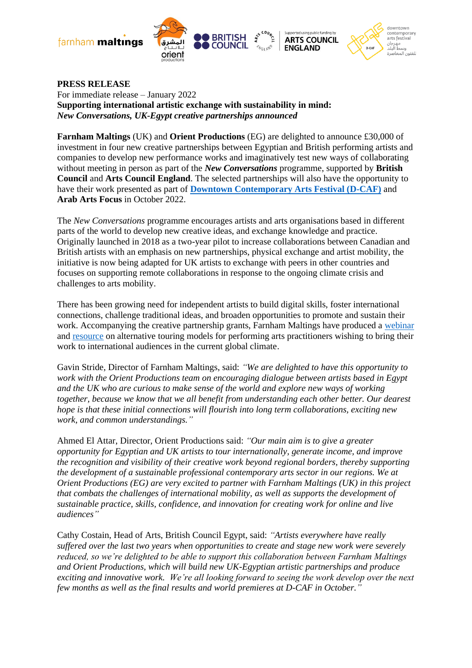farnham maltings





**PRESS RELEASE**  For immediate release – January 2022 **Supporting international artistic exchange with sustainability in mind:**  *New Conversations, UK-Egypt creative partnerships announced*

**Farnham Maltings** (UK) and **Orient Productions** (EG) are delighted to announce £30,000 of investment in four new creative partnerships between Egyptian and British performing artists and companies to develop new performance works and imaginatively test new ways of collaborating without meeting in person as part of the *New Conversations* programme, supported by **British Council** and **Arts Council England**. The selected partnerships will also have the opportunity to have their work presented as part of **[Downtown Contemporary Arts Festival \(D-CAF\)](https://d-caf.org/)** and **Arab Arts Focus** in October 2022.

The *New Conversations* programme encourages artists and arts organisations based in different parts of the world to develop new creative ideas, and exchange knowledge and practice. Originally launched in 2018 as a two-year pilot to increase collaborations between Canadian and British artists with an emphasis on new partnerships, physical exchange and artist mobility, the initiative is now being adapted for UK artists to exchange with peers in other countries and focuses on supporting remote collaborations in response to the ongoing climate crisis and challenges to arts mobility.

There has been growing need for independent artists to build digital skills, foster international connections, challenge traditional ideas, and broaden opportunities to promote and sustain their work. Accompanying the creative partnership grants, Farnham Maltings have produced a [webinar](https://www.youtube.com/watch?v=9Wusgcp7HT4) and [resource](https://housetheatre.org.uk/wp-content/uploads/2020/06/Getting-mileage-from-your-artistic-ideas-a-guide.pdf) on alternative touring models for performing arts practitioners wishing to bring their work to international audiences in the current global climate.

Gavin Stride, Director of Farnham Maltings, said: *"We are delighted to have this opportunity to work with the Orient Productions team on encouraging dialogue between artists based in Egypt and the UK who are curious to make sense of the world and explore new ways of working together, because we know that we all benefit from understanding each other better. Our dearest hope is that these initial connections will flourish into long term collaborations, exciting new work, and common understandings."*

Ahmed El Attar, Director, Orient Productions said: *"Our main aim is to give a greater opportunity for Egyptian and UK artists to tour internationally, generate income, and improve the recognition and visibility of their creative work beyond regional borders, thereby supporting the development of a sustainable professional contemporary arts sector in our regions. We at Orient Productions (EG) are very excited to partner with Farnham Maltings (UK) in this project that combats the challenges of international mobility, as well as supports the development of sustainable practice, skills, confidence, and innovation for creating work for online and live audiences"*

Cathy Costain, Head of Arts, British Council Egypt, said: *"Artists everywhere have really suffered over the last two years when opportunities to create and stage new work were severely reduced, so we're delighted to be able to support this collaboration between Farnham Maltings and Orient Productions, which will build new UK-Egyptian artistic partnerships and produce exciting and innovative work. We're all looking forward to seeing the work develop over the next few months as well as the final results and world premieres at D-CAF in October."*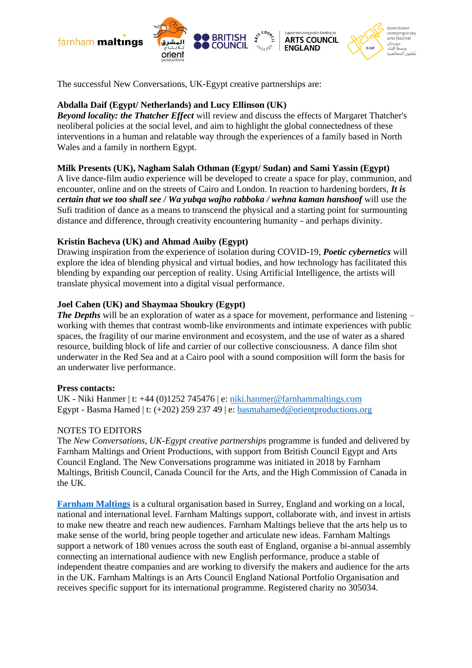



**BRITISH** 

Supported using public funding by

**ARTS COUNCIL** 

downtown contemporary<br>arts festival

مهرجان

سط البلد للفنون المعاصرة

The successful New Conversations, UK-Egypt creative partnerships are:

# **Abdalla Daif (Egypt/ Netherlands) and Lucy Ellinson (UK)**

*Beyond locality: the Thatcher Effect* will review and discuss the effects of Margaret Thatcher's neoliberal policies at the social level, and aim to highlight the global connectedness of these interventions in a human and relatable way through the experiences of a family based in North Wales and a family in northern Egypt.

## **Milk Presents (UK), Nagham Salah Othman (Egypt/ Sudan) and Sami Yassin (Egypt)**

A live dance-film audio experience will be developed to create a space for play, communion, and encounter, online and on the streets of Cairo and London. In reaction to hardening borders, *It is certain that we too shall see / Wa yubqa wajho rabboka / wehna kaman hanshoof* will use the Sufi tradition of dance as a means to transcend the physical and a starting point for surmounting distance and difference, through creativity encountering humanity - and perhaps divinity.

## **Kristin Bacheva (UK) and Ahmad Auiby (Egypt)**

Drawing inspiration from the experience of isolation during COVID-19, *Poetic cybernetics* will explore the idea of blending physical and virtual bodies, and how technology has facilitated this blending by expanding our perception of reality. Using Artificial Intelligence, the artists will translate physical movement into a digital visual performance.

## **Joel Cahen (UK) and Shaymaa Shoukry (Egypt)**

*The Depths* will be an exploration of water as a space for movement, performance and listening – working with themes that contrast womb-like environments and intimate experiences with public spaces, the fragility of our marine environment and ecosystem, and the use of water as a shared resource, building block of life and carrier of our collective consciousness. A dance film shot underwater in the Red Sea and at a Cairo pool with a sound composition will form the basis for an underwater live performance.

## **Press contacts:**

UK - Niki Hanmer | t: +44 (0)1252 745476 | e[: niki.hanmer@farnhammaltings.com](mailto:niki.hanmer@farnhammaltings.com) Egypt - Basma Hamed | t: (+202) 259 237 49 | e: [basmahamed@orientproductions.org](mailto:basmahamed@orientproductions.org)

## NOTES TO EDITORS

The *New Conversations, UK-Egypt creative partnerships* programme is funded and delivered by Farnham Maltings and Orient Productions, with support from British Council Egypt and Arts Council England. The New Conversations programme was initiated in 2018 by Farnham Maltings, British Council, Canada Council for the Arts, and the High Commission of Canada in the UK.

**[Farnham Maltings](http://farnhammaltings.com/)** is a cultural organisation based in Surrey, England and working on a local, national and international level. Farnham Maltings support, collaborate with, and invest in artists to make new theatre and reach new audiences. Farnham Maltings believe that the arts help us to make sense of the world, bring people together and articulate new ideas. Farnham Maltings support a network of 180 venues across the south east of England, organise a bi-annual assembly connecting an international audience with new English performance, produce a stable of independent theatre companies and are working to diversify the makers and audience for the arts in the UK. Farnham Maltings is an Arts Council England National Portfolio Organisation and receives specific support for its international programme. Registered charity no 305034.